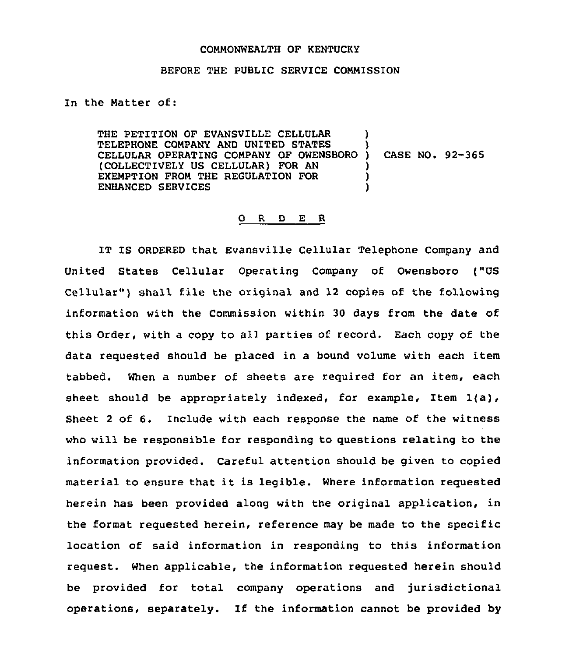## COMMONWEALTH OF KENTUCKY

## BEFORE THE PUBLIC SERVICE COMMISSION

In the Natter of:

THE PETITION OF EVANSVILLE CELLULAR TELEPHONE CQNPANY AND UNITED STATES CELLULAR OPERATING COMPANY OF OWENSBORO (COLLECTIVELY US CELLULAR) FOR AN EXEMPTION FROM THE REGULATION FOR ENHANCED SERVICES ) ) ) CASE NO. 92-365 ) ) )

## 0 <sup>R</sup> <sup>D</sup> E R

IT IS ORDERED that Evansville Cellular Telephone Company and United States Cellular Operating Company of Owensboro ("US Cellular") shall file the original and 12 copies of the following information with the Commission within 30 days from the date of this Order, with a copy to all parties of record. Each copy of the data requested should be placed in a bound volume with each item tabbed. When a number of sheets are required for an item, each sheet should be appropriately indexed, for example, Item  $1(a)$ , Sheet <sup>2</sup> of 6. Include with each response the name of the witness who will be responsible for responding to questions relating to the information provided. Careful attention should be given to copied material to ensure that it is legible. Where information requested herein has been provided along with the original application, in the format requested herein, reference may be made to the specific location of said information in responding to this information request. When applicable, the information requested herein should be provided for total company operations and jurisdictional operations, separately. If the information cannot be provided by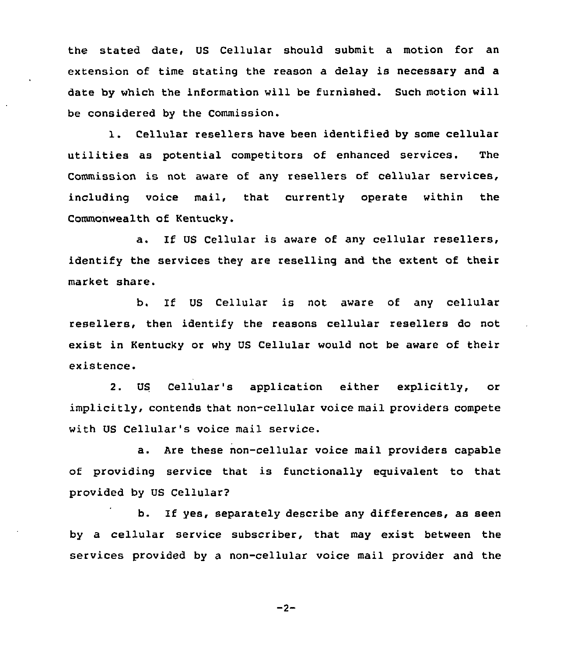the stated date, US Cellular should submit a motion for an extension of time stating the reason a delay is necessary and a date by which the information will be furnished. Such motion will be considered by the Commission.

1. Cellular resellers have been identified by some cellular utilities as potential competitors of enhanced services. The Commission is not aware of any resellers of cellular services, including voice mail, that currently operate within the Commonwealth of Kentucky.

a. If US Cellular is aware of any cellular resellers, identify the services they are reselling and the extent of their market share.

b. If US Cellular is not aware of any cellular resellers, then identify the reasons cellular resellers do not exist in Kentucky or why US Cellular would not be aware of their existence.

US Cellular's application either explicitly, or implicitly, contends that non-cellular voice mail providers compete with US Cellular's voice mail service.

a. Are these non-cellular voice mail providers capable of providing service that is functionally equivalent to that provided by US Cellular?

b. If yes, separately describe any differences, as seen by a cellular service subscriber, that may exist between the services provided by a non-cellular voice mail provider and the

 $-2-$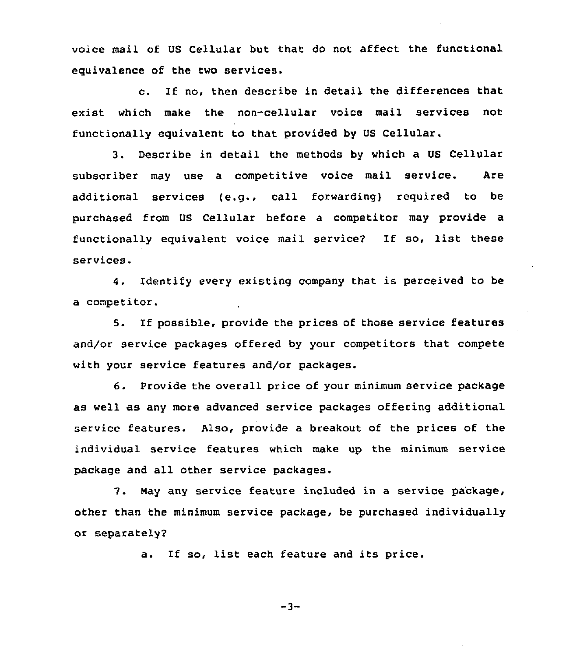voice mail of US Cellular but that do not affect the functional equivalence of the two services.

c. If no, then describe in detail the differences that exist which make the non-cellular voice mail services not functionally equivalent to that provided by US Cellular.

3. Describe in detail the methods by which a US Cellular subscriber may use a competitive voice mail service. Are additional services (e.g., call forwarding) required to be purchased from US Cellular before a competitor may provide a functionally equivalent voice mail service? If so, list these services.

4. Identify every existing company that is perceived to be a competitor.

5. If possible, provide the prices of those service features and/or service packages offered by your competitors that compete with your service features and/or packages.

6. Provide the overall price of your minimum service package as well as any more advanced service packages offering additional service features. Also, provide a breakout of the prices of the individual service features which make up the minimum service package and all other service packages.

7. May any service feature included in a service package, other than the minimum service package, be purchased individually or separately2

a. If so, list each feature and its price.

-3-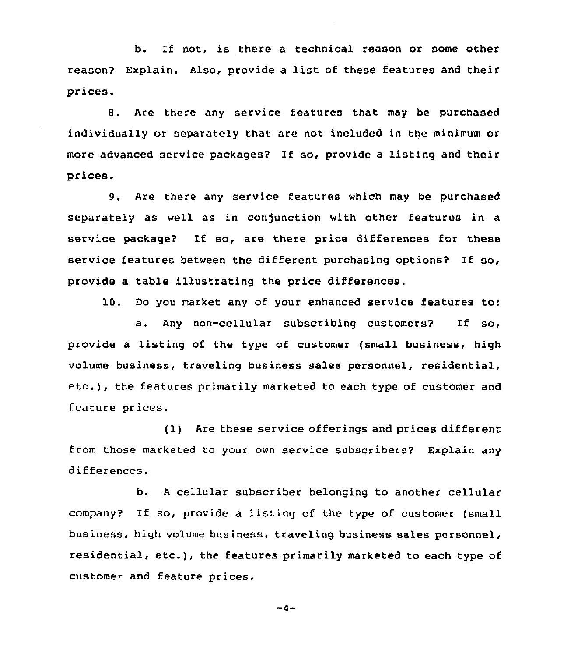b. If not, is there a technical reason or some other reason? Explain. Also, provide a list of these features and their prices.

8. Are there any service features that may be purchased individually or separately that are not included in the minimum or more advanced service packages? If so, provide a listing and their prices.

9. Are there any service features which may be purchased separately as well as in conjunction with other features in a service package2 If so, are there price differences for these service features between the different purchasing options? If so, provide a table illustrating the price differences.

10. Do you market any of your enhanced service features to:

a. Any non-cellular subscribing customers? If so, provide a listing of the type of customer (small business, high volume business, traveling business sales personnel, residential, etc.), the features primarily marketed to each type of customer and feature prices.

(1) Are these service offerings and prices different from those marketed to your own service subscribers2 Explain any differences.

b. <sup>A</sup> cellular subscriber belonging to another cellular company2 If so, provide <sup>a</sup> listing of the type of customer (small business, high volume business, traveling business sales personnel, residential, etc.), the features primarily marketed to each type of customer and feature prices.

 $-4-$